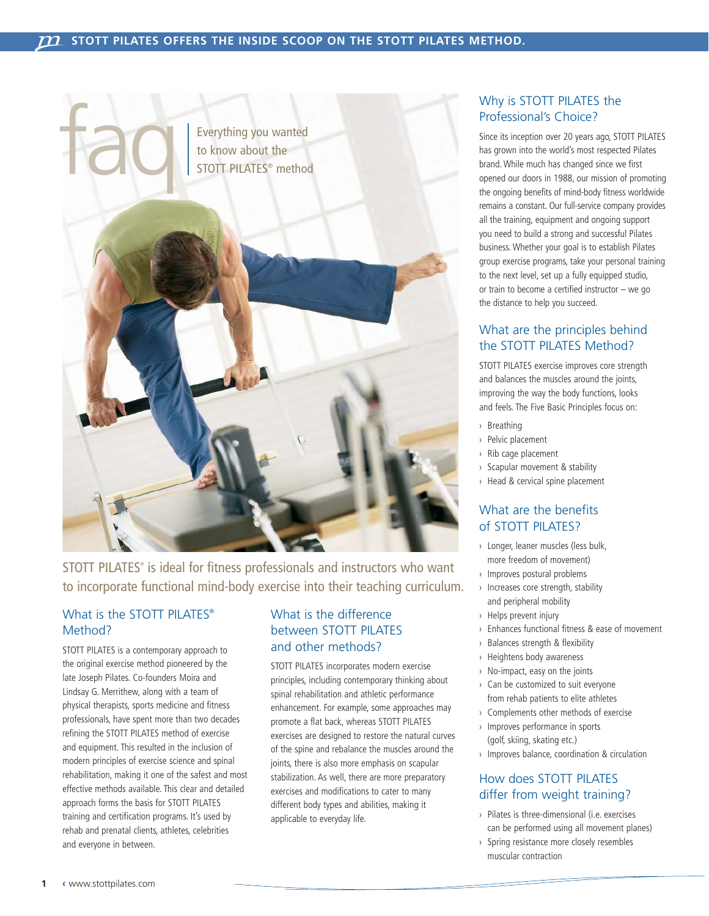

STOTT PILATES<sup>®</sup> is ideal for fitness professionals and instructors who want to incorporate functional mind-body exercise into their teaching curriculum.

# What is the STOTT PILATES® Method?

STOTT PILATES is a contemporary approach to the original exercise method pioneered by the late Joseph Pilates. Co-founders Moira and Lindsay G. Merrithew, along with a team of physical therapists, sports medicine and fitness professionals, have spent more than two decades refining the STOTT PILATES method of exercise and equipment. This resulted in the inclusion of modern principles of exercise science and spinal rehabilitation, making it one of the safest and most effective methods available. This clear and detailed approach forms the basis for STOTT PILATES training and certification programs. It's used by rehab and prenatal clients, athletes, celebrities and everyone in between.

### What is the difference between STOTT PILATES and other methods?

STOTT PILATES incorporates modern exercise principles, including contemporary thinking about spinal rehabilitation and athletic performance enhancement. For example, some approaches may promote a flat back, whereas STOTT PILATES exercises are designed to restore the natural curves of the spine and rebalance the muscles around the joints, there is also more emphasis on scapular stabilization. As well, there are more preparatory exercises and modifications to cater to many different body types and abilities, making it applicable to everyday life.

# Why is STOTT PILATES the Professional's Choice?

Since its inception over 20 years ago, STOTT PILATES has grown into the world's most respected Pilates brand. While much has changed since we first opened our doors in 1988, our mission of promoting the ongoing benefits of mind-body fitness worldwide remains a constant. Our full-service company provides all the training, equipment and ongoing support you need to build a strong and successful Pilates business. Whether your goal is to establish Pilates group exercise programs, take your personal training to the next level, set up a fully equipped studio, or train to become a certified instructor – we go the distance to help you succeed.

# What are the principles behind the STOTT PILATES Method?

STOTT PILATES exercise improves core strength and balances the muscles around the joints, improving the way the body functions, looks and feels. The Five Basic Principles focus on:

- › Breathing
- › Pelvic placement
- › Rib cage placement
- › Scapular movement & stability
- › Head & cervical spine placement

### What are the benefits of STOTT PILATES?

- › Longer, leaner muscles (less bulk, more freedom of movement)
- › Improves postural problems
- › Increases core strength, stability and peripheral mobility
- › Helps prevent injury
- › Enhances functional fitness & ease of movement
- › Balances strength & flexibility
- › Heightens body awareness
- › No-impact, easy on the joints
- › Can be customized to suit everyone from rehab patients to elite athletes
- › Complements other methods of exercise
- › Improves performance in sports (golf, skiing, skating etc.)
- › Improves balance, coordination & circulation

#### How does STOTT PILATES differ from weight training?

- › Pilates is three-dimensional (i.e. exercises can be performed using all movement planes)
- › Spring resistance more closely resembles muscular contraction